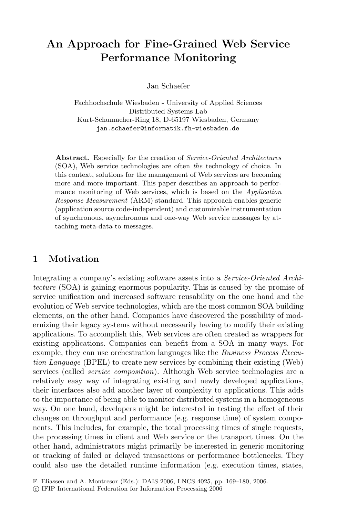# **An Approach for Fine-Grained Web Service Performance Monitoring**

Jan Schaefer

Fachhochschule Wiesbaden - University of Applied Sciences Distributed Systems Lab Kurt-Schumacher-Ring 18, D-65197 Wiesbaden, Germany jan.schaefer@informatik.fh-wiesbaden.de

Abstract. Especially for the creation of *Service-Oriented Architectures* (SOA), Web service technologies are often the technology of choice. In this context, solutions for the management of Web services are becoming more and more important. This paper describes an approach to performance monitoring of Web services, which is based on the Application Response Measurement (ARM) standard. This approach enables generic (application source code-independent) and customizable instrumentation of synchronous, asynchronous and one-way Web service messages by attaching meta-data to messages.

### **1 Motivation**

Integrating a company's existing software assets into a *Service-Oriented Architecture* (SOA) is gaining enormous popularity. This is caused by the promise of service unification and increased software reusability on the one hand and the evolution of Web service technologies, which are the most common SOA building elements, on the other hand. Companies have discovered the possibility of modernizing their legacy systems without necessarily having to modify their existing applications. To accomplish this, Web services are often created as wrappers for existing applications. Companies can benefit from a SOA in many ways. For example, they can use orchestration languages like the *Business Process Execution Language* (BPEL) to create new services by combining their existing (Web) services (called *service composition*). Although Web service technologies are a relatively easy way of integrating existing and newly developed applications, their interfaces also add another layer of complexity to applications. This adds to the importance of being able to monitor distributed systems in a homogeneous way. On one hand, developers might be interested in testing the effect of their changes on throughput and performance (e.g. response time) of system components. This includes, for example, the total processing times of single requests, the processing times in client and Web service or the transport times. On the other hand, administrators might primarily be interested in generic monitoring or tracking of failed or delayed transactions or performance bottlenecks. They could also use the detailed runtime information (e.g. execution times, states,

F. Eliassen and A. Montresor (Eds.): DAIS 2006, LNCS 4025, pp. 169–180, 2006.

<sup>-</sup>c IFIP International Federation for Information Processing 2006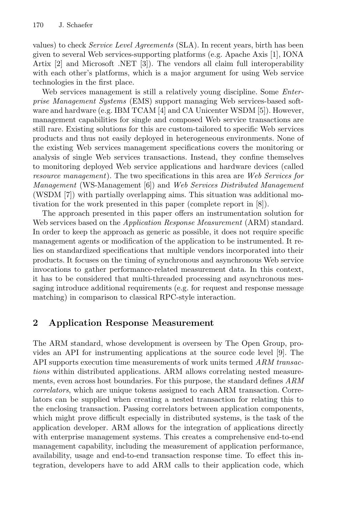values) to check *Service Level Agreements* (SLA). In recent years, birth has been given to several Web services-supporting platforms (e.g. Apache Axis [1], IONA Artix [2] and Microsoft .NET [3]). The vendors all claim full interoperability with each other's platforms, which is a major argument for using Web service technologies in the first place.

Web services management is still a relatively young discipline. Some *Enterprise Management Systems* (EMS) support managing Web services-based software and hardware (e.g. IBM TCAM [4] and CA Unicenter WSDM [5]). However, management capabilities for single and composed Web service transactions are still rare. Existing solutions for this are custom-tailored to specific Web services products and thus not easily deployed in heterogeneous environments. None of the existing Web services management specifications covers the monitoring or analysis of single Web services transactions. Instead, they confine themselves to monitoring deployed Web service applications and hardware devices (called *resource management*). The two specifications in this area are *Web Services for Management* (WS-Management [6]) and *Web Services Distributed Management* (WSDM [7]) with partially overlapping aims. This situation was additional motivation for the work presented in this paper (complete report in [8]).

The approach presented in this paper offers an instrumentation solution for Web services based on the *Application Response Measurement* (ARM) standard. In order to keep the approach as generic as possible, it does not require specific management agents or modification of the application to be instrumented. It relies on standardized specifications that multiple vendors incorporated into their products. It focuses on the timing of synchronous and asynchronous Web service invocations to gather performance-related measurement data. In this context, it has to be considered that multi-threaded processing and asynchronous messaging introduce additional requirements (e.g. for request and response message matching) in comparison to classical RPC-style interaction.

## **2 Application Response Measurement**

The ARM standard, whose development is overseen by The Open Group, provides an API for instrumenting applications at the source code level [9]. The API supports execution time measurements of work units termed *ARM transactions* within distributed applications. ARM allows correlating nested measurements, even across host boundaries. For this purpose, the standard defines *ARM correlators*, which are unique tokens assigned to each ARM transaction. Correlators can be supplied when creating a nested transaction for relating this to the enclosing transaction. Passing correlators between application components, which might prove difficult especially in distributed systems, is the task of the application developer. ARM allows for the integration of applications directly with enterprise management systems. This creates a comprehensive end-to-end management capability, including the measurement of application performance, availability, usage and end-to-end transaction response time. To effect this integration, developers have to add ARM calls to their application code, which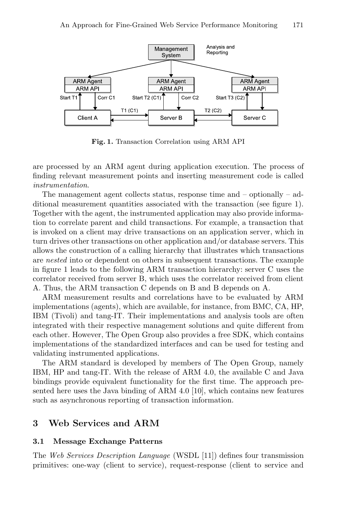

**Fig. 1.** Transaction Correlation using ARM API

are processed by an ARM agent during application execution. The process of finding relevant measurement points and inserting measurement code is called *instrumentation*.

The management agent collects status, response time and  $-$  optionally  $-$  additional measurement quantities associated with the transaction (see figure 1). Together with the agent, the instrumented application may also provide information to correlate parent and child transactions. For example, a transaction that is invoked on a client may drive transactions on an application server, which in turn drives other transactions on other application and/or database servers. This allows the construction of a calling hierarchy that illustrates which transactions are *nested* into or dependent on others in subsequent transactions. The example in figure 1 leads to the following ARM transaction hierarchy: server C uses the correlator received from server B, which uses the correlator received from client A. Thus, the ARM transaction C depends on B and B depends on A.

ARM measurement results and correlations have to be evaluated by ARM implementations (agents), which are available, for instance, from BMC, CA, HP, IBM (Tivoli) and tang-IT. Their implementations and analysis tools are often integrated with their respective management solutions and quite different from each other. However, The Open Group also provides a free SDK, which contains implementations of the standardized interfaces and can be used for testing and validating instrumented applications.

The ARM standard is developed by members of The Open Group, namely IBM, HP and tang-IT. With the release of ARM 4.0, the available C and Java bindings provide equivalent functionality for the first time. The approach presented here uses the Java binding of ARM 4.0 [10], which contains new features such as asynchronous reporting of transaction information.

### **3 Web Services and ARM**

#### **3.1 Message Exchange Patterns**

The *Web Services Description Language* (WSDL [11]) defines four transmission primitives: one-way (client to service), request-response (client to service and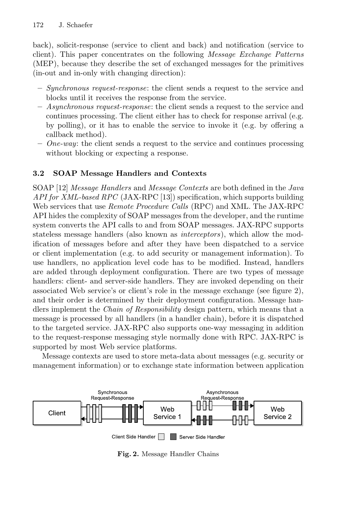back), solicit-response (service to client and back) and notification (service to client). This paper concentrates on the following *Message Exchange Patterns* (MEP), because they describe the set of exchanged messages for the primitives (in-out and in-only with changing direction):

- **–** *Synchronous request-response*: the client sends a request to the service and blocks until it receives the response from the service.
- **–** *Asynchronous request-response*: the client sends a request to the service and continues processing. The client either has to check for response arrival (e.g. by polling), or it has to enable the service to invoke it (e.g. by offering a callback method).
- **–** *One-way*: the client sends a request to the service and continues processing without blocking or expecting a response.

### **3.2 SOAP Message Handlers and Contexts**

SOAP [12] *Message Handlers* and *Message Contexts* are both defined in the *Java API for XML-based RPC* (JAX-RPC [13]) specification, which supports building Web services that use *Remote Procedure Calls* (RPC) and XML. The JAX-RPC API hides the complexity of SOAP messages from the developer, and the runtime system converts the API calls to and from SOAP messages. JAX-RPC supports stateless message handlers (also known as *interceptors*), which allow the modification of messages before and after they have been dispatched to a service or client implementation (e.g. to add security or management information). To use handlers, no application level code has to be modified. Instead, handlers are added through deployment configuration. There are two types of message handlers: client- and server-side handlers. They are invoked depending on their associated Web service's or client's role in the message exchange (see figure 2), and their order is determined by their deployment configuration. Message handlers implement the *Chain of Responsibility* design pattern, which means that a message is processed by all handlers (in a handler chain), before it is dispatched to the targeted service. JAX-RPC also supports one-way messaging in addition to the request-response messaging style normally done with RPC. JAX-RPC is supported by most Web service platforms.

Message contexts are used to store meta-data about messages (e.g. security or management information) or to exchange state information between application



**Fig. 2.** Message Handler Chains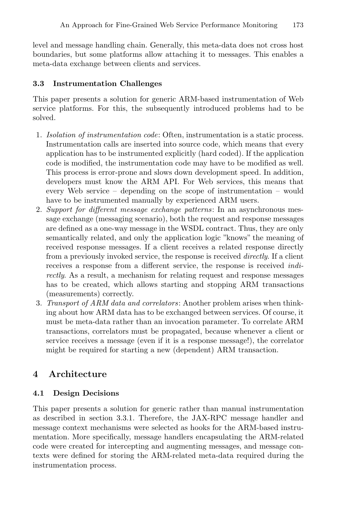level and message handling chain. Generally, this meta-data does not cross host boundaries, but some platforms allow attaching it to messages. This enables a meta-data exchange between clients and services.

### **3.3 Instrumentation Challenges**

This paper presents a solution for generic ARM-based instrumentation of Web service platforms. For this, the subsequently introduced problems had to be solved.

- 1. *Isolation of instrumentation code*: Often, instrumentation is a static process. Instrumentation calls are inserted into source code, which means that every application has to be instrumented explicitly (hard coded). If the application code is modified, the instrumentation code may have to be modified as well. This process is error-prone and slows down development speed. In addition, developers must know the ARM API. For Web services, this means that every Web service – depending on the scope of instrumentation – would have to be instrumented manually by experienced ARM users.
- 2. *Support for different message exchange patterns*: In an asynchronous message exchange (messaging scenario), both the request and response messages are defined as a one-way message in the WSDL contract. Thus, they are only semantically related, and only the application logic "knows" the meaning of received response messages. If a client receives a related response directly from a previously invoked service, the response is received *directly*. If a client receives a response from a different service, the response is received *indirectly*. As a result, a mechanism for relating request and response messages has to be created, which allows starting and stopping ARM transactions (measurements) correctly.
- 3. *Transport of ARM data and correlators*: Another problem arises when thinking about how ARM data has to be exchanged between services. Of course, it must be meta-data rather than an invocation parameter. To correlate ARM transactions, correlators must be propagated, because whenever a client or service receives a message (even if it is a response message!), the correlator might be required for starting a new (dependent) ARM transaction.

## **4 Architecture**

### **4.1 Design Decisions**

This paper presents a solution for generic rather than manual instrumentation as described in section 3.3.1. Therefore, the JAX-RPC message handler and message context mechanisms were selected as hooks for the ARM-based instrumentation. More specifically, message handlers encapsulating the ARM-related code were created for intercepting and augmenting messages, and message contexts were defined for storing the ARM-related meta-data required during the instrumentation process.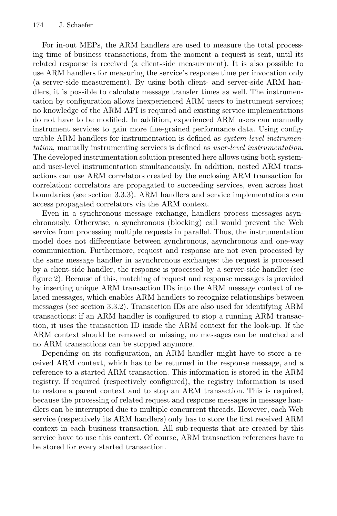For in-out MEPs, the ARM handlers are used to measure the total processing time of business transactions, from the moment a request is sent, until its related response is received (a client-side measurement). It is also possible to use ARM handlers for measuring the service's response time per invocation only (a server-side measurement). By using both client- and server-side ARM handlers, it is possible to calculate message transfer times as well. The instrumentation by configuration allows inexperienced ARM users to instrument services; no knowledge of the ARM API is required and existing service implementations do not have to be modified. In addition, experienced ARM users can manually instrument services to gain more fine-grained performance data. Using configurable ARM handlers for instrumentation is defined as *system-level instrumentation*, manually instrumenting services is defined as *user-level instrumentation*. The developed instrumentation solution presented here allows using both systemand user-level instrumentation simultaneously. In addition, nested ARM transactions can use ARM correlators created by the enclosing ARM transaction for correlation: correlators are propagated to succeeding services, even across host boundaries (see section 3.3.3). ARM handlers and service implementations can access propagated correlators via the ARM context.

Even in a synchronous message exchange, handlers process messages asynchronously. Otherwise, a synchronous (blocking) call would prevent the Web service from processing multiple requests in parallel. Thus, the instrumentation model does not differentiate between synchronous, asynchronous and one-way communication. Furthermore, request and response are not even processed by the same message handler in asynchronous exchanges: the request is processed by a client-side handler, the response is processed by a server-side handler (see figure 2). Because of this, matching of request and response messages is provided by inserting unique ARM transaction IDs into the ARM message context of related messages, which enables ARM handlers to recognize relationships between messages (see section 3.3.2). Transaction IDs are also used for identifying ARM transactions: if an ARM handler is configured to stop a running ARM transaction, it uses the transaction ID inside the ARM context for the look-up. If the ARM context should be removed or missing, no messages can be matched and no ARM transactions can be stopped anymore.

Depending on its configuration, an ARM handler might have to store a received ARM context, which has to be returned in the response message, and a reference to a started ARM transaction. This information is stored in the ARM registry. If required (respectively configured), the registry information is used to restore a parent context and to stop an ARM transaction. This is required, because the processing of related request and response messages in message handlers can be interrupted due to multiple concurrent threads. However, each Web service (respectively its ARM handlers) only has to store the first received ARM context in each business transaction. All sub-requests that are created by this service have to use this context. Of course, ARM transaction references have to be stored for every started transaction.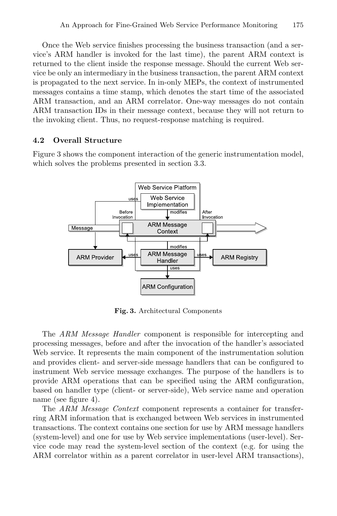Once the Web service finishes processing the business transaction (and a service's ARM handler is invoked for the last time), the parent ARM context is returned to the client inside the response message. Should the current Web service be only an intermediary in the business transaction, the parent ARM context is propagated to the next service. In in-only MEPs, the context of instrumented messages contains a time stamp, which denotes the start time of the associated ARM transaction, and an ARM correlator. One-way messages do not contain ARM transaction IDs in their message context, because they will not return to the invoking client. Thus, no request-response matching is required.

#### **4.2 Overall Structure**

Figure 3 shows the component interaction of the generic instrumentation model, which solves the problems presented in section 3.3.



**Fig. 3.** Architectural Components

The *ARM Message Handler* component is responsible for intercepting and processing messages, before and after the invocation of the handler's associated Web service. It represents the main component of the instrumentation solution and provides client- and server-side message handlers that can be configured to instrument Web service message exchanges. The purpose of the handlers is to provide ARM operations that can be specified using the ARM configuration, based on handler type (client- or server-side), Web service name and operation name (see figure 4).

The *ARM Message Context* component represents a container for transferring ARM information that is exchanged between Web services in instrumented transactions. The context contains one section for use by ARM message handlers (system-level) and one for use by Web service implementations (user-level). Service code may read the system-level section of the context (e.g. for using the ARM correlator within as a parent correlator in user-level ARM transactions),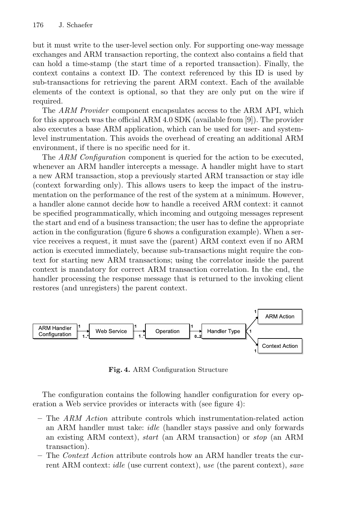but it must write to the user-level section only. For supporting one-way message exchanges and ARM transaction reporting, the context also contains a field that can hold a time-stamp (the start time of a reported transaction). Finally, the context contains a context ID. The context referenced by this ID is used by sub-transactions for retrieving the parent ARM context. Each of the available elements of the context is optional, so that they are only put on the wire if required.

The *ARM Provider* component encapsulates access to the ARM API, which for this approach was the official ARM 4.0 SDK (available from [9]). The provider also executes a base ARM application, which can be used for user- and systemlevel instrumentation. This avoids the overhead of creating an additional ARM environment, if there is no specific need for it.

The *ARM Configuration* component is queried for the action to be executed, whenever an ARM handler intercepts a message. A handler might have to start a new ARM transaction, stop a previously started ARM transaction or stay idle (context forwarding only). This allows users to keep the impact of the instrumentation on the performance of the rest of the system at a minimum. However, a handler alone cannot decide how to handle a received ARM context: it cannot be specified programmatically, which incoming and outgoing messages represent the start and end of a business transaction; the user has to define the appropriate action in the configuration (figure 6 shows a configuration example). When a service receives a request, it must save the (parent) ARM context even if no ARM action is executed immediately, because sub-transactions might require the context for starting new ARM transactions; using the correlator inside the parent context is mandatory for correct ARM transaction correlation. In the end, the handler processing the response message that is returned to the invoking client restores (and unregisters) the parent context.



**Fig. 4.** ARM Configuration Structure

The configuration contains the following handler configuration for every operation a Web service provides or interacts with (see figure 4):

- **–** The *ARM Action* attribute controls which instrumentation-related action an ARM handler must take: *idle* (handler stays passive and only forwards an existing ARM context), *start* (an ARM transaction) or *stop* (an ARM transaction).
- **–** The *Context Action* attribute controls how an ARM handler treats the current ARM context: *idle* (use current context), *use* (the parent context), *save*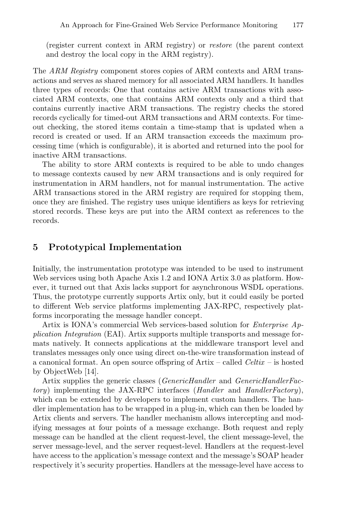(register current context in ARM registry) or *restore* (the parent context and destroy the local copy in the ARM registry).

The *ARM Registry* component stores copies of ARM contexts and ARM transactions and serves as shared memory for all associated ARM handlers. It handles three types of records: One that contains active ARM transactions with associated ARM contexts, one that contains ARM contexts only and a third that contains currently inactive ARM transactions. The registry checks the stored records cyclically for timed-out ARM transactions and ARM contexts. For timeout checking, the stored items contain a time-stamp that is updated when a record is created or used. If an ARM transaction exceeds the maximum processing time (which is configurable), it is aborted and returned into the pool for inactive ARM transactions.

The ability to store ARM contexts is required to be able to undo changes to message contexts caused by new ARM transactions and is only required for instrumentation in ARM handlers, not for manual instrumentation. The active ARM transactions stored in the ARM registry are required for stopping them, once they are finished. The registry uses unique identifiers as keys for retrieving stored records. These keys are put into the ARM context as references to the records.

#### **5 Prototypical Implementation**

Initially, the instrumentation prototype was intended to be used to instrument Web services using both Apache Axis 1.2 and IONA Artix 3.0 as platform. However, it turned out that Axis lacks support for asynchronous WSDL operations. Thus, the prototype currently supports Artix only, but it could easily be ported to different Web service platforms implementing JAX-RPC, respectively platforms incorporating the message handler concept.

Artix is IONA's commercial Web services-based solution for *Enterprise Application Integration* (EAI). Artix supports multiple transports and message formats natively. It connects applications at the middleware transport level and translates messages only once using direct on-the-wire transformation instead of a canonical format. An open source offspring of Artix – called *Celtix* – is hosted by ObjectWeb [14].

Artix supplies the generic classes (*GenericHandler* and *GenericHandlerFactory*) implementing the JAX-RPC interfaces (*Handler* and *HandlerFactory*), which can be extended by developers to implement custom handlers. The handler implementation has to be wrapped in a plug-in, which can then be loaded by Artix clients and servers. The handler mechanism allows intercepting and modifying messages at four points of a message exchange. Both request and reply message can be handled at the client request-level, the client message-level, the server message-level, and the server request-level. Handlers at the request-level have access to the application's message context and the message's SOAP header respectively it's security properties. Handlers at the message-level have access to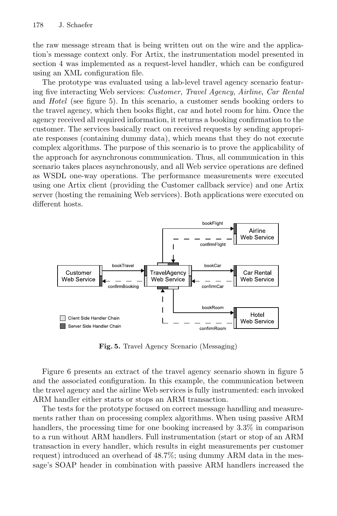the raw message stream that is being written out on the wire and the application's message context only. For Artix, the instrumentation model presented in section 4 was implemented as a request-level handler, which can be configured using an XML configuration file.

The prototype was evaluated using a lab-level travel agency scenario featuring five interacting Web services: *Customer*, *Travel Agency*, *Airline*, *Car Rental* and *Hotel* (see figure 5). In this scenario, a customer sends booking orders to the travel agency, which then books flight, car and hotel room for him. Once the agency received all required information, it returns a booking confirmation to the customer. The services basically react on received requests by sending appropriate responses (containing dummy data), which means that they do not execute complex algorithms. The purpose of this scenario is to prove the applicability of the approach for asynchronous communication. Thus, all communication in this scenario takes places asynchronously, and all Web service operations are defined as WSDL one-way operations. The performance measurements were executed using one Artix client (providing the Customer callback service) and one Artix server (hosting the remaining Web services). Both applications were executed on different hosts.



**Fig. 5.** Travel Agency Scenario (Messaging)

Figure 6 presents an extract of the travel agency scenario shown in figure 5 and the associated configuration. In this example, the communication between the travel agency and the airline Web services is fully instrumented: each invoked ARM handler either starts or stops an ARM transaction.

The tests for the prototype focused on correct message handling and measurements rather than on processing complex algorithms. When using passive ARM handlers, the processing time for one booking increased by 3.3% in comparison to a run without ARM handlers. Full instrumentation (start or stop of an ARM transaction in every handler, which results in eight measurements per customer request) introduced an overhead of 48.7%; using dummy ARM data in the message's SOAP header in combination with passive ARM handlers increased the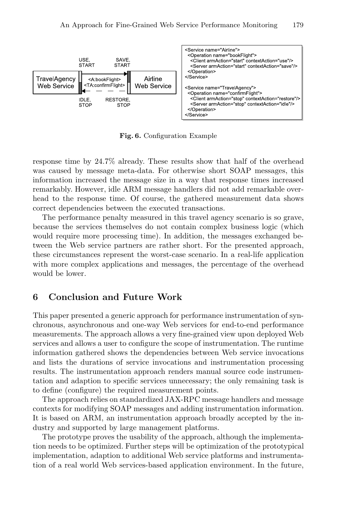

**Fig. 6.** Configuration Example

response time by 24.7% already. These results show that half of the overhead was caused by message meta-data. For otherwise short SOAP messages, this information increased the message size in a way that response times increased remarkably. However, idle ARM message handlers did not add remarkable overhead to the response time. Of course, the gathered measurement data shows correct dependencies between the executed transactions.

The performance penalty measured in this travel agency scenario is so grave, because the services themselves do not contain complex business logic (which would require more processing time). In addition, the messages exchanged between the Web service partners are rather short. For the presented approach, these circumstances represent the worst-case scenario. In a real-life application with more complex applications and messages, the percentage of the overhead would be lower.

### **6 Conclusion and Future Work**

This paper presented a generic approach for performance instrumentation of synchronous, asynchronous and one-way Web services for end-to-end performance measurements. The approach allows a very fine-grained view upon deployed Web services and allows a user to configure the scope of instrumentation. The runtime information gathered shows the dependencies between Web service invocations and lists the durations of service invocations and instrumentation processing results. The instrumentation approach renders manual source code instrumentation and adaption to specific services unnecessary; the only remaining task is to define (configure) the required measurement points.

The approach relies on standardized JAX-RPC message handlers and message contexts for modifying SOAP messages and adding instrumentation information. It is based on ARM, an instrumentation approach broadly accepted by the industry and supported by large management platforms.

The prototype proves the usability of the approach, although the implementation needs to be optimized. Further steps will be optimization of the prototypical implementation, adaption to additional Web service platforms and instrumentation of a real world Web services-based application environment. In the future,